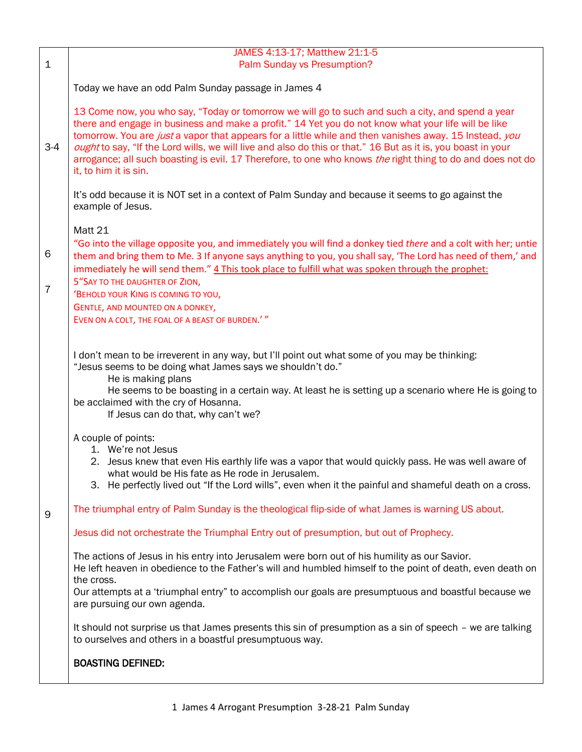| $\mathbf{1}$        | JAMES 4:13-17; Matthew 21:1-5<br>Palm Sunday vs Presumption?                                                                                                                                                                                                                                                                                                                                                                                                                                                                                                              |
|---------------------|---------------------------------------------------------------------------------------------------------------------------------------------------------------------------------------------------------------------------------------------------------------------------------------------------------------------------------------------------------------------------------------------------------------------------------------------------------------------------------------------------------------------------------------------------------------------------|
|                     | Today we have an odd Palm Sunday passage in James 4                                                                                                                                                                                                                                                                                                                                                                                                                                                                                                                       |
| $3-4$               | 13 Come now, you who say, "Today or tomorrow we will go to such and such a city, and spend a year<br>there and engage in business and make a profit." 14 Yet you do not know what your life will be like<br>tomorrow. You are just a vapor that appears for a little while and then vanishes away. 15 Instead, you<br>ought to say, "If the Lord wills, we will live and also do this or that." 16 But as it is, you boast in your<br>arrogance; all such boasting is evil. 17 Therefore, to one who knows the right thing to do and does not do<br>it, to him it is sin. |
|                     | It's odd because it is NOT set in a context of Palm Sunday and because it seems to go against the<br>example of Jesus.                                                                                                                                                                                                                                                                                                                                                                                                                                                    |
| 6<br>$\overline{7}$ | Matt 21<br>"Go into the village opposite you, and immediately you will find a donkey tied there and a colt with her; untie<br>them and bring them to Me. 3 If anyone says anything to you, you shall say, 'The Lord has need of them,' and<br>immediately he will send them." 4 This took place to fulfill what was spoken through the prophet:<br>5"SAY TO THE DAUGHTER OF ZION,<br>'BEHOLD YOUR KING IS COMING TO YOU,<br><b>GENTLE, AND MOUNTED ON A DONKEY,</b><br>EVEN ON A COLT, THE FOAL OF A BEAST OF BURDEN.'"                                                   |
|                     | I don't mean to be irreverent in any way, but I'll point out what some of you may be thinking:<br>"Jesus seems to be doing what James says we shouldn't do."<br>He is making plans<br>He seems to be boasting in a certain way. At least he is setting up a scenario where He is going to<br>be acclaimed with the cry of Hosanna.<br>If Jesus can do that, why can't we?                                                                                                                                                                                                 |
|                     | A couple of points:<br>1. We're not Jesus<br>2. Jesus knew that even His earthly life was a vapor that would quickly pass. He was well aware of<br>what would be His fate as He rode in Jerusalem.<br>3. He perfectly lived out "If the Lord wills", even when it the painful and shameful death on a cross.                                                                                                                                                                                                                                                              |
| 9                   | The triumphal entry of Palm Sunday is the theological flip-side of what James is warning US about.                                                                                                                                                                                                                                                                                                                                                                                                                                                                        |
|                     | Jesus did not orchestrate the Triumphal Entry out of presumption, but out of Prophecy.                                                                                                                                                                                                                                                                                                                                                                                                                                                                                    |
|                     | The actions of Jesus in his entry into Jerusalem were born out of his humility as our Savior.<br>He left heaven in obedience to the Father's will and humbled himself to the point of death, even death on<br>the cross.<br>Our attempts at a 'triumphal entry" to accomplish our goals are presumptuous and boastful because we<br>are pursuing our own agenda.                                                                                                                                                                                                          |
|                     | It should not surprise us that James presents this sin of presumption as a sin of speech - we are talking<br>to ourselves and others in a boastful presumptuous way.                                                                                                                                                                                                                                                                                                                                                                                                      |
|                     | <b>BOASTING DEFINED:</b>                                                                                                                                                                                                                                                                                                                                                                                                                                                                                                                                                  |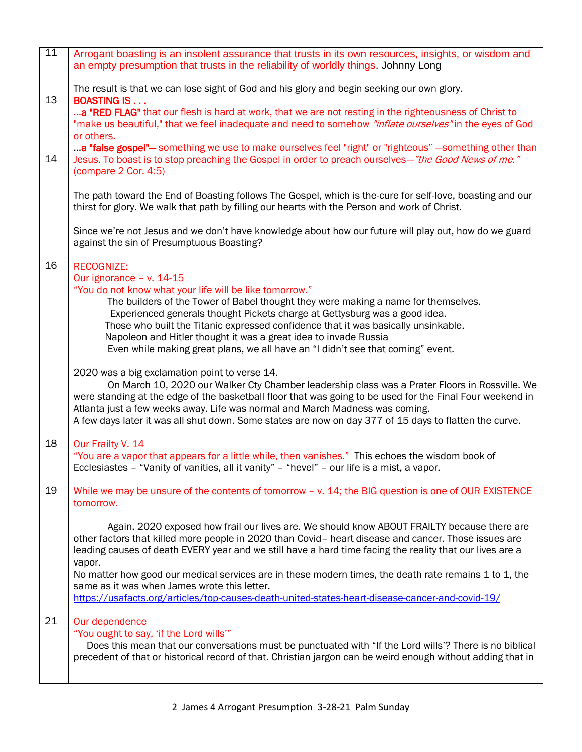| 11 | Arrogant boasting is an insolent assurance that trusts in its own resources, insights, or wisdom and<br>an empty presumption that trusts in the reliability of worldly things. Johnny Long                                                                                                                                                                                                            |
|----|-------------------------------------------------------------------------------------------------------------------------------------------------------------------------------------------------------------------------------------------------------------------------------------------------------------------------------------------------------------------------------------------------------|
| 13 | The result is that we can lose sight of God and his glory and begin seeking our own glory.<br><b>BOASTING IS</b>                                                                                                                                                                                                                                                                                      |
|    | a "RED FLAG" that our flesh is hard at work, that we are not resting in the righteousness of Christ to<br>"make us beautiful," that we feel inadequate and need to somehow "inflate ourselves" in the eyes of God<br>or others.                                                                                                                                                                       |
| 14 | a "false gospel"— something we use to make ourselves feel "right" or "righteous" —something other than<br>Jesus. To boast is to stop preaching the Gospel in order to preach ourselves—"the Good News of me."<br>(compare 2 Cor. 4:5)                                                                                                                                                                 |
|    | The path toward the End of Boasting follows The Gospel, which is the-cure for self-love, boasting and our<br>thirst for glory. We walk that path by filling our hearts with the Person and work of Christ.                                                                                                                                                                                            |
|    | Since we're not Jesus and we don't have knowledge about how our future will play out, how do we guard<br>against the sin of Presumptuous Boasting?                                                                                                                                                                                                                                                    |
| 16 | <b>RECOGNIZE:</b>                                                                                                                                                                                                                                                                                                                                                                                     |
|    | Our ignorance - v. 14-15<br>"You do not know what your life will be like tomorrow."                                                                                                                                                                                                                                                                                                                   |
|    | The builders of the Tower of Babel thought they were making a name for themselves.                                                                                                                                                                                                                                                                                                                    |
|    | Experienced generals thought Pickets charge at Gettysburg was a good idea.<br>Those who built the Titanic expressed confidence that it was basically unsinkable.                                                                                                                                                                                                                                      |
|    | Napoleon and Hitler thought it was a great idea to invade Russia<br>Even while making great plans, we all have an "I didn't see that coming" event.                                                                                                                                                                                                                                                   |
|    | 2020 was a big exclamation point to verse 14.                                                                                                                                                                                                                                                                                                                                                         |
|    | On March 10, 2020 our Walker Cty Chamber leadership class was a Prater Floors in Rossville. We<br>were standing at the edge of the basketball floor that was going to be used for the Final Four weekend in<br>Atlanta just a few weeks away. Life was normal and March Madness was coming.<br>A few days later it was all shut down. Some states are now on day 377 of 15 days to flatten the curve. |
| 18 |                                                                                                                                                                                                                                                                                                                                                                                                       |
|    | Our Frailty V. 14<br>"You are a vapor that appears for a little while, then vanishes." This echoes the wisdom book of<br>Ecclesiastes - "Vanity of vanities, all it vanity" - "hevel" - our life is a mist, a vapor.                                                                                                                                                                                  |
| 19 | While we may be unsure of the contents of tomorrow $-$ v. 14; the BIG question is one of OUR EXISTENCE<br>tomorrow.                                                                                                                                                                                                                                                                                   |
|    | Again, 2020 exposed how frail our lives are. We should know ABOUT FRAILTY because there are<br>other factors that killed more people in 2020 than Covid- heart disease and cancer. Those issues are                                                                                                                                                                                                   |
|    | leading causes of death EVERY year and we still have a hard time facing the reality that our lives are a<br>vapor.                                                                                                                                                                                                                                                                                    |
|    | No matter how good our medical services are in these modern times, the death rate remains 1 to 1, the<br>same as it was when James wrote this letter.                                                                                                                                                                                                                                                 |
|    | https://usafacts.org/articles/top-causes-death-united-states-heart-disease-cancer-and-covid-19/                                                                                                                                                                                                                                                                                                       |
| 21 | Our dependence                                                                                                                                                                                                                                                                                                                                                                                        |
|    | "You ought to say, 'if the Lord wills'"<br>Does this mean that our conversations must be punctuated with "If the Lord wills"? There is no biblical<br>precedent of that or historical record of that. Christian jargon can be weird enough without adding that in                                                                                                                                     |
|    |                                                                                                                                                                                                                                                                                                                                                                                                       |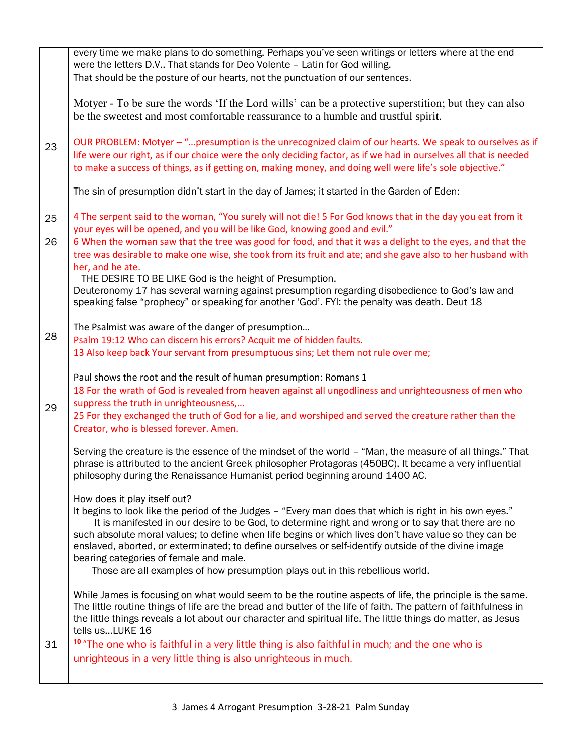|    | every time we make plans to do something. Perhaps you've seen writings or letters where at the end                                                                                                                                                                                                                                                              |
|----|-----------------------------------------------------------------------------------------------------------------------------------------------------------------------------------------------------------------------------------------------------------------------------------------------------------------------------------------------------------------|
|    | were the letters D.V That stands for Deo Volente - Latin for God willing.                                                                                                                                                                                                                                                                                       |
|    | That should be the posture of our hearts, not the punctuation of our sentences.                                                                                                                                                                                                                                                                                 |
|    | Motyer - To be sure the words 'If the Lord wills' can be a protective superstition; but they can also<br>be the sweetest and most comfortable reassurance to a humble and trustful spirit.                                                                                                                                                                      |
| 23 | OUR PROBLEM: Motyer - " presumption is the unrecognized claim of our hearts. We speak to ourselves as if<br>life were our right, as if our choice were the only deciding factor, as if we had in ourselves all that is needed<br>to make a success of things, as if getting on, making money, and doing well were life's sole objective."                       |
|    | The sin of presumption didn't start in the day of James; it started in the Garden of Eden:                                                                                                                                                                                                                                                                      |
| 25 | 4 The serpent said to the woman, "You surely will not die! 5 For God knows that in the day you eat from it<br>your eyes will be opened, and you will be like God, knowing good and evil."                                                                                                                                                                       |
| 26 | 6 When the woman saw that the tree was good for food, and that it was a delight to the eyes, and that the                                                                                                                                                                                                                                                       |
|    | tree was desirable to make one wise, she took from its fruit and ate; and she gave also to her husband with<br>her, and he ate.                                                                                                                                                                                                                                 |
|    | THE DESIRE TO BE LIKE God is the height of Presumption.                                                                                                                                                                                                                                                                                                         |
|    | Deuteronomy 17 has several warning against presumption regarding disobedience to God's law and<br>speaking false "prophecy" or speaking for another 'God'. FYI: the penalty was death. Deut 18                                                                                                                                                                  |
|    | The Psalmist was aware of the danger of presumption                                                                                                                                                                                                                                                                                                             |
| 28 | Psalm 19:12 Who can discern his errors? Acquit me of hidden faults.                                                                                                                                                                                                                                                                                             |
|    | 13 Also keep back Your servant from presumptuous sins; Let them not rule over me;                                                                                                                                                                                                                                                                               |
|    | Paul shows the root and the result of human presumption: Romans 1                                                                                                                                                                                                                                                                                               |
|    | 18 For the wrath of God is revealed from heaven against all ungodliness and unrighteousness of men who                                                                                                                                                                                                                                                          |
| 29 | suppress the truth in unrighteousness,                                                                                                                                                                                                                                                                                                                          |
|    | 25 For they exchanged the truth of God for a lie, and worshiped and served the creature rather than the<br>Creator, who is blessed forever. Amen.                                                                                                                                                                                                               |
|    |                                                                                                                                                                                                                                                                                                                                                                 |
|    | Serving the creature is the essence of the mindset of the world - "Man, the measure of all things." That<br>phrase is attributed to the ancient Greek philosopher Protagoras (450BC). It became a very influential<br>philosophy during the Renaissance Humanist period beginning around 1400 AC.                                                               |
|    | How does it play itself out?<br>It begins to look like the period of the Judges - "Every man does that which is right in his own eyes."                                                                                                                                                                                                                         |
|    | It is manifested in our desire to be God, to determine right and wrong or to say that there are no                                                                                                                                                                                                                                                              |
|    | such absolute moral values; to define when life begins or which lives don't have value so they can be<br>enslaved, aborted, or exterminated; to define ourselves or self-identify outside of the divine image                                                                                                                                                   |
|    | bearing categories of female and male.                                                                                                                                                                                                                                                                                                                          |
|    | Those are all examples of how presumption plays out in this rebellious world.                                                                                                                                                                                                                                                                                   |
|    | While James is focusing on what would seem to be the routine aspects of life, the principle is the same.<br>The little routine things of life are the bread and butter of the life of faith. The pattern of faithfulness in<br>the little things reveals a lot about our character and spiritual life. The little things do matter, as Jesus<br>tells usLUKE 16 |
| 31 | <sup>10</sup> "The one who is faithful in a very little thing is also faithful in much; and the one who is                                                                                                                                                                                                                                                      |
|    | unrighteous in a very little thing is also unrighteous in much.                                                                                                                                                                                                                                                                                                 |
|    |                                                                                                                                                                                                                                                                                                                                                                 |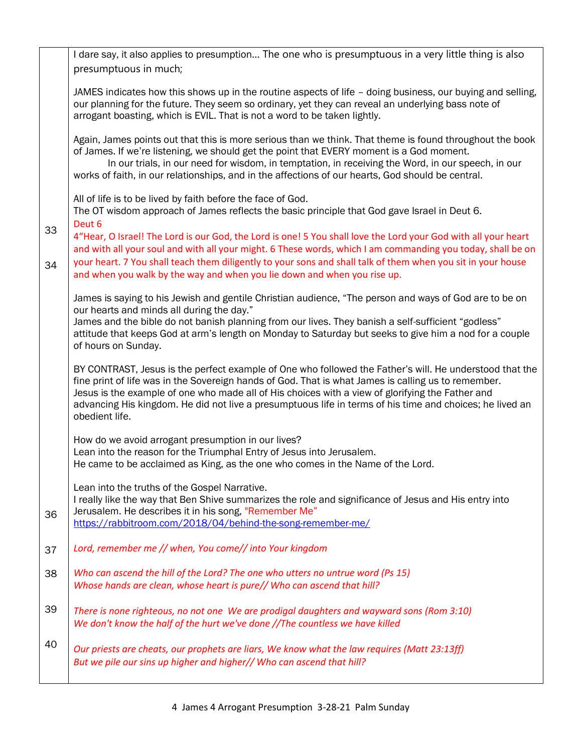|          | I dare say, it also applies to presumption The one who is presumptuous in a very little thing is also<br>presumptuous in much;                                                                                                                                                                                                                                                                                                                   |
|----------|--------------------------------------------------------------------------------------------------------------------------------------------------------------------------------------------------------------------------------------------------------------------------------------------------------------------------------------------------------------------------------------------------------------------------------------------------|
|          | JAMES indicates how this shows up in the routine aspects of life - doing business, our buying and selling,<br>our planning for the future. They seem so ordinary, yet they can reveal an underlying bass note of<br>arrogant boasting, which is EVIL. That is not a word to be taken lightly.                                                                                                                                                    |
|          | Again, James points out that this is more serious than we think. That theme is found throughout the book<br>of James. If we're listening, we should get the point that EVERY moment is a God moment.<br>In our trials, in our need for wisdom, in temptation, in receiving the Word, in our speech, in our<br>works of faith, in our relationships, and in the affections of our hearts, God should be central.                                  |
|          | All of life is to be lived by faith before the face of God.<br>The OT wisdom approach of James reflects the basic principle that God gave Israel in Deut 6.<br>Deut 6                                                                                                                                                                                                                                                                            |
| 33<br>34 | 4"Hear, O Israel! The Lord is our God, the Lord is one! 5 You shall love the Lord your God with all your heart<br>and with all your soul and with all your might. 6 These words, which I am commanding you today, shall be on<br>your heart. 7 You shall teach them diligently to your sons and shall talk of them when you sit in your house<br>and when you walk by the way and when you lie down and when you rise up.                        |
|          | James is saying to his Jewish and gentile Christian audience, "The person and ways of God are to be on<br>our hearts and minds all during the day."<br>James and the bible do not banish planning from our lives. They banish a self-sufficient "godless"                                                                                                                                                                                        |
|          | attitude that keeps God at arm's length on Monday to Saturday but seeks to give him a nod for a couple<br>of hours on Sunday.                                                                                                                                                                                                                                                                                                                    |
|          | BY CONTRAST, Jesus is the perfect example of One who followed the Father's will. He understood that the<br>fine print of life was in the Sovereign hands of God. That is what James is calling us to remember.<br>Jesus is the example of one who made all of His choices with a view of glorifying the Father and<br>advancing His kingdom. He did not live a presumptuous life in terms of his time and choices; he lived an<br>obedient life. |
|          | How do we avoid arrogant presumption in our lives?<br>Lean into the reason for the Triumphal Entry of Jesus into Jerusalem.<br>He came to be acclaimed as King, as the one who comes in the Name of the Lord.                                                                                                                                                                                                                                    |
| 36       | Lean into the truths of the Gospel Narrative.<br>I really like the way that Ben Shive summarizes the role and significance of Jesus and His entry into<br>Jerusalem. He describes it in his song, "Remember Me"<br>https://rabbitroom.com/2018/04/behind-the-song-remember-me/                                                                                                                                                                   |
| 37       | Lord, remember me // when, You come// into Your kingdom                                                                                                                                                                                                                                                                                                                                                                                          |
| 38       | Who can ascend the hill of the Lord? The one who utters no untrue word (Ps 15)<br>Whose hands are clean, whose heart is pure// Who can ascend that hill?                                                                                                                                                                                                                                                                                         |
| 39       | There is none righteous, no not one We are prodigal daughters and wayward sons (Rom 3:10)<br>We don't know the half of the hurt we've done //The countless we have killed                                                                                                                                                                                                                                                                        |
| 40       | Our priests are cheats, our prophets are liars, We know what the law requires (Matt 23:13ff)<br>But we pile our sins up higher and higher// Who can ascend that hill?                                                                                                                                                                                                                                                                            |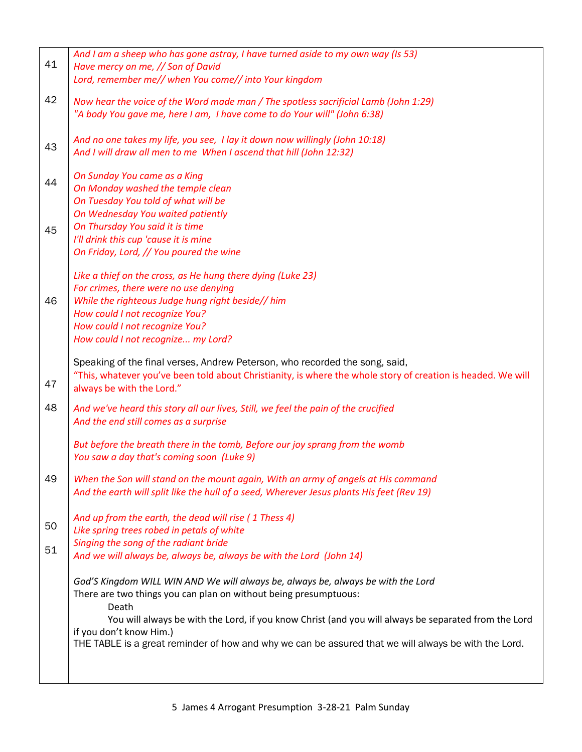|    | And I am a sheep who has gone astray, I have turned aside to my own way (Is 53)                              |
|----|--------------------------------------------------------------------------------------------------------------|
| 41 | Have mercy on me, // Son of David                                                                            |
|    | Lord, remember me// when You come// into Your kingdom                                                        |
|    |                                                                                                              |
| 42 | Now hear the voice of the Word made man / The spotless sacrificial Lamb (John 1:29)                          |
|    | "A body You gave me, here I am, I have come to do Your will" (John 6:38)                                     |
|    |                                                                                                              |
| 43 | And no one takes my life, you see, I lay it down now willingly (John 10:18)                                  |
|    | And I will draw all men to me When I ascend that hill (John 12:32)                                           |
|    | On Sunday You came as a King                                                                                 |
| 44 | On Monday washed the temple clean                                                                            |
|    | On Tuesday You told of what will be                                                                          |
|    | On Wednesday You waited patiently                                                                            |
|    | On Thursday You said it is time                                                                              |
| 45 | I'll drink this cup 'cause it is mine                                                                        |
|    | On Friday, Lord, // You poured the wine                                                                      |
|    |                                                                                                              |
|    | Like a thief on the cross, as He hung there dying (Luke 23)                                                  |
|    | For crimes, there were no use denying                                                                        |
| 46 | While the righteous Judge hung right beside// him                                                            |
|    | How could I not recognize You?                                                                               |
|    | How could I not recognize You?                                                                               |
|    | How could I not recognize my Lord?                                                                           |
|    |                                                                                                              |
|    | Speaking of the final verses, Andrew Peterson, who recorded the song, said,                                  |
|    | "This, whatever you've been told about Christianity, is where the whole story of creation is headed. We will |
| 47 | always be with the Lord."                                                                                    |
| 48 | And we've heard this story all our lives, Still, we feel the pain of the crucified                           |
|    | And the end still comes as a surprise                                                                        |
|    |                                                                                                              |
|    | But before the breath there in the tomb, Before our joy sprang from the womb                                 |
|    | You saw a day that's coming soon (Luke 9)                                                                    |
|    |                                                                                                              |
| 49 | When the Son will stand on the mount again, With an army of angels at His command                            |
|    | And the earth will split like the hull of a seed, Wherever Jesus plants His feet (Rev 19)                    |
|    |                                                                                                              |
| 50 | And up from the earth, the dead will rise (1 Thess 4)                                                        |
|    | Like spring trees robed in petals of white                                                                   |
| 51 | Singing the song of the radiant bride                                                                        |
|    | And we will always be, always be, always be with the Lord (John 14)                                          |
|    |                                                                                                              |
|    | God'S Kingdom WILL WIN AND We will always be, always be, always be with the Lord                             |
|    | There are two things you can plan on without being presumptuous:                                             |
|    | Death                                                                                                        |
|    | You will always be with the Lord, if you know Christ (and you will always be separated from the Lord         |
|    | if you don't know Him.)                                                                                      |
|    | THE TABLE is a great reminder of how and why we can be assured that we will always be with the Lord.         |
|    |                                                                                                              |
|    |                                                                                                              |